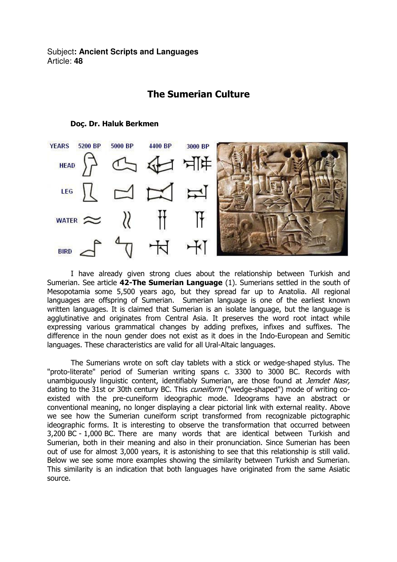Subject**: Ancient Scripts and Languages**  Article: **48**

## The Sumerian Culture



## Doç. Dr. Haluk Berkmen

 I have already given strong clues about the relationship between Turkish and Sumerian. See article 42-The Sumerian Language (1). Sumerians settled in the south of Mesopotamia some 5,500 years ago, but they spread far up to Anatolia. All regional languages are offspring of Sumerian. Sumerian language is one of the earliest known written languages. It is claimed that Sumerian is an isolate language, but the language is agglutinative and originates from Central Asia. It preserves the word root intact while expressing various grammatical changes by adding prefixes, infixes and suffixes. The difference in the noun gender does not exist as it does in the Indo-European and Semitic languages. These characteristics are valid for all Ural-Altaic languages.

 The Sumerians wrote on soft clay tablets with a stick or wedge-shaped stylus. The "proto-literate" period of Sumerian writing spans c. 3300 to 3000 BC. Records with unambiguously linguistic content, identifiably Sumerian, are those found at Jemdet Nasr, dating to the 31st or 30th century BC. This *cuneiform* ("wedge-shaped") mode of writing coexisted with the pre-cuneiform ideographic mode. Ideograms have an abstract or conventional meaning, no longer displaying a clear pictorial link with external reality. Above we see how the Sumerian cuneiform script transformed from recognizable pictographic ideographic forms. It is interesting to observe the transformation that occurred between 3,200 BC - 1,000 BC. There are many words that are identical between Turkish and Sumerian, both in their meaning and also in their pronunciation. Since Sumerian has been out of use for almost 3,000 years, it is astonishing to see that this relationship is still valid. Below we see some more examples showing the similarity between Turkish and Sumerian. This similarity is an indication that both languages have originated from the same Asiatic source.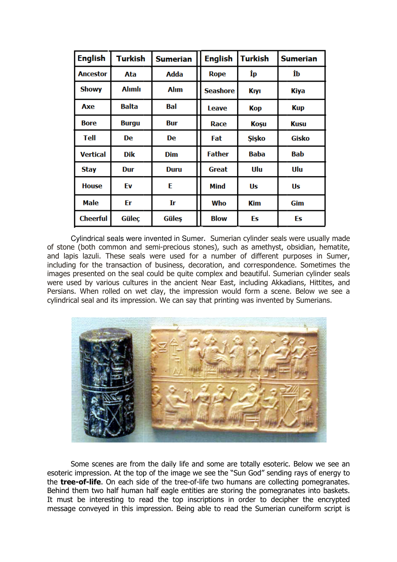| <b>English</b>  | <b>Turkish</b> | <b>Sumerian</b> | <b>English</b>  | <b>Turkish</b> | <b>Sumerian</b> |
|-----------------|----------------|-----------------|-----------------|----------------|-----------------|
| <b>Ancestor</b> | Ata            | Adda            | <b>Rope</b>     | İр             | İb              |
| <b>Showy</b>    | <b>Alimli</b>  | <b>Alım</b>     | <b>Seashore</b> | <b>K</b> iyi   | <b>Kiya</b>     |
| Axe             | <b>Balta</b>   | Bal             | Leave           | <b>Kop</b>     | <b>Kup</b>      |
| <b>Bore</b>     | <b>Burgu</b>   | <b>Bur</b>      | Race            | Koşu           | <b>Kusu</b>     |
| <b>Tell</b>     | <b>De</b>      | <b>De</b>       | Fat             | <b>Sisko</b>   | <b>Gisko</b>    |
| <b>Vertical</b> | <b>Dik</b>     | <b>Dim</b>      | <b>Father</b>   | <b>Baba</b>    | <b>Bab</b>      |
| <b>Stay</b>     | Dur            | <b>Duru</b>     | <b>Great</b>    | Ulu            | Ulu             |
| <b>House</b>    | Ev             | E               | <b>Mind</b>     | Us             | Us              |
| <b>Male</b>     | Er             | Ir              | Who             | <b>Kim</b>     | Gim             |
| <b>Cheerful</b> | Güleç          | Güleş           | <b>Blow</b>     | Es             | Es              |

Cylindrical seals were invented in Sumer . Sumerian cylinder seals were usually made of stone (both common and semi-precious stones), such as amethyst, obsidian, hematite, and lapis lazuli. These seals were used for a number of different purposes in Sumer, including for the transaction of business, decoration, and correspondence. Sometimes the images presented on the seal could be quite complex and beautiful. Sumerian cylinder seals were used by various cultures in the ancient Near East, including Akkadians, Hittites, and Persians. When rolled on wet clay, the impression would form a scene. Below we see a cylindrical seal and its impression. We can say that printing was invented by Sumerians.



Some scenes are from the daily life and some are totally esoteric. Below we see an esoteric impression. At the top of the image we see the "Sun God" sending rays of energy to the tree-of-life. On each side of the tree-of-life two humans are collecting pome Behind them two half human half eagle entities are storing the pomegranates into baskets. It must be interesting to read the top inscriptions in order to decipher the encrypted message conveyed in this impression. Being able to read the Sumerian cuneiform script is